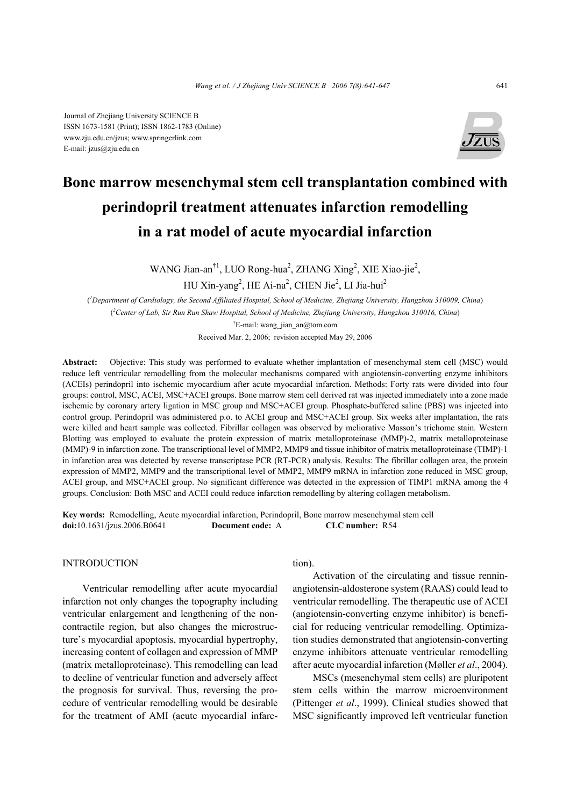

# **Bone marrow mesenchymal stem cell transplantation combined with perindopril treatment attenuates infarction remodelling in a rat model of acute myocardial infarction**

WANG Jian-an<sup>†1</sup>, LUO Rong-hua<sup>2</sup>, ZHANG Xing<sup>2</sup>, XIE Xiao-jie<sup>2</sup>,

HU Xin-yang<sup>2</sup>, HE Ai-na<sup>2</sup>, CHEN Jie<sup>2</sup>, LI Jia-hui<sup>2</sup>

( *1 Department of Cardiology, the Second Affiliated Hospital, School of Medicine, Zhejiang University, Hangzhou 310009, China*) ( *2 Center of Lab, Sir Run Run Shaw Hospital, School of Medicine, Zhejiang University, Hangzhou 310016, China*) † E-mail: wang\_jian\_an@tom.com

Received Mar. 2, 2006; revision accepted May 29, 2006

**Abstract:** Objective: This study was performed to evaluate whether implantation of mesenchymal stem cell (MSC) would reduce left ventricular remodelling from the molecular mechanisms compared with angiotensin-converting enzyme inhibitors (ACEIs) perindopril into ischemic myocardium after acute myocardial infarction. Methods: Forty rats were divided into four groups: control, MSC, ACEI, MSC+ACEI groups. Bone marrow stem cell derived rat was injected immediately into a zone made ischemic by coronary artery ligation in MSC group and MSC+ACEI group. Phosphate-buffered saline (PBS) was injected into control group. Perindopril was administered p.o. to ACEI group and MSC+ACEI group. Six weeks after implantation, the rats were killed and heart sample was collected. Fibrillar collagen was observed by meliorative Masson's trichome stain. Western Blotting was employed to evaluate the protein expression of matrix metalloproteinase (MMP)-2, matrix metalloproteinase (MMP)-9 in infarction zone. The transcriptional level of MMP2, MMP9 and tissue inhibitor of matrix metalloproteinase (TIMP)-1 in infarction area was detected by reverse transcriptase PCR (RT-PCR) analysis. Results: The fibrillar collagen area, the protein expression of MMP2, MMP9 and the transcriptional level of MMP2, MMP9 mRNA in infarction zone reduced in MSC group, ACEI group, and MSC+ACEI group. No significant difference was detected in the expression of TIMP1 mRNA among the 4 groups. Conclusion: Both MSC and ACEI could reduce infarction remodelling by altering collagen metabolism.

**Key words:** Remodelling, Acute myocardial infarction, Perindopril, Bone marrow mesenchymal stem cell **doi:**10.1631/jzus.2006.B0641 **Document code:** A **CLC number:** R54

## **INTRODUCTION**

Ventricular remodelling after acute myocardial infarction not only changes the topography including ventricular enlargement and lengthening of the noncontractile region, but also changes the microstructure's myocardial apoptosis, myocardial hypertrophy, increasing content of collagen and expression of MMP (matrix metalloproteinase). This remodelling can lead to decline of ventricular function and adversely affect the prognosis for survival. Thus, reversing the procedure of ventricular remodelling would be desirable for the treatment of AMI (acute myocardial infarction).

Activation of the circulating and tissue renninangiotensin-aldosterone system (RAAS) could lead to ventricular remodelling. The therapeutic use of ACEI (angiotensin-converting enzyme inhibitor) is beneficial for reducing ventricular remodelling. Optimization studies demonstrated that angiotensin-converting enzyme inhibitors attenuate ventricular remodelling after acute myocardial infarction (Møller *et al*., 2004).

MSCs (mesenchymal stem cells) are pluripotent stem cells within the marrow microenvironment (Pittenger *et al*., 1999). Clinical studies showed that MSC significantly improved left ventricular function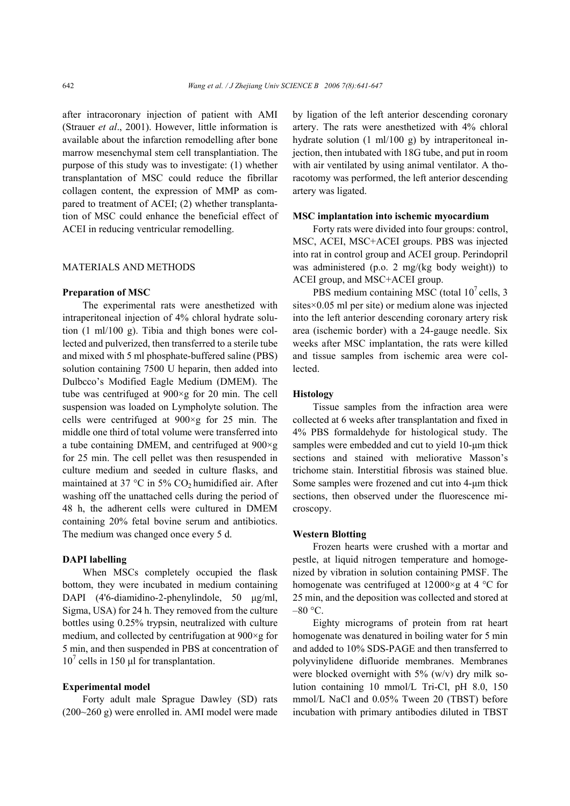after intracoronary injection of patient with AMI (Strauer *et al*., 2001). However, little information is available about the infarction remodelling after bone marrow mesenchymal stem cell transplantiation. The purpose of this study was to investigate: (1) whether transplantation of MSC could reduce the fibrillar collagen content, the expression of MMP as compared to treatment of ACEI; (2) whether transplantation of MSC could enhance the beneficial effect of ACEI in reducing ventricular remodelling.

# MATERIALS AND METHODS

#### **Preparation of MSC**

The experimental rats were anesthetized with intraperitoneal injection of 4% chloral hydrate solution (1 ml/100 g). Tibia and thigh bones were collected and pulverized, then transferred to a sterile tube and mixed with 5 ml phosphate-buffered saline (PBS) solution containing 7500 U heparin, then added into Dulbcco's Modified Eagle Medium (DMEM). The tube was centrifuged at 900×g for 20 min. The cell suspension was loaded on Lympholyte solution. The cells were centrifuged at 900×g for 25 min. The middle one third of total volume were transferred into a tube containing DMEM, and centrifuged at  $900 \times g$ for 25 min. The cell pellet was then resuspended in culture medium and seeded in culture flasks, and maintained at 37  $\degree$ C in 5% CO<sub>2</sub> humidified air. After washing off the unattached cells during the period of 48 h, the adherent cells were cultured in DMEM containing 20% fetal bovine serum and antibiotics. The medium was changed once every 5 d.

## **DAPI labelling**

When MSCs completely occupied the flask bottom, they were incubated in medium containing DAPI (4'6-diamidino-2-phenylindole, 50 µg/ml, Sigma, USA) for 24 h. They removed from the culture bottles using 0.25% trypsin, neutralized with culture medium, and collected by centrifugation at 900×g for 5 min, and then suspended in PBS at concentration of  $10^7$  cells in 150 µl for transplantation.

### **Experimental model**

Forty adult male Sprague Dawley (SD) rats (200~260 g) were enrolled in. AMI model were made by ligation of the left anterior descending coronary artery. The rats were anesthetized with 4% chloral hydrate solution (1 ml/100 g) by intraperitoneal injection, then intubated with 18G tube, and put in room with air ventilated by using animal ventilator. A thoracotomy was performed, the left anterior descending artery was ligated.

#### **MSC implantation into ischemic myocardium**

Forty rats were divided into four groups: control, MSC, ACEI, MSC+ACEI groups. PBS was injected into rat in control group and ACEI group. Perindopril was administered (p.o. 2 mg/(kg body weight)) to ACEI group, and MSC+ACEI group.

PBS medium containing MSC (total  $10^7$  cells, 3 sites×0.05 ml per site) or medium alone was injected into the left anterior descending coronary artery risk area (ischemic border) with a 24-gauge needle. Six weeks after MSC implantation, the rats were killed and tissue samples from ischemic area were collected.

## **Histology**

Tissue samples from the infraction area were collected at 6 weeks after transplantation and fixed in 4% PBS formaldehyde for histological study. The samples were embedded and cut to yield 10-µm thick sections and stained with meliorative Masson's trichome stain. Interstitial fibrosis was stained blue. Some samples were frozened and cut into 4-um thick sections, then observed under the fluorescence microscopy.

#### **Western Blotting**

Frozen hearts were crushed with a mortar and pestle, at liquid nitrogen temperature and homogenized by vibration in solution containing PMSF. The homogenate was centrifuged at  $12000 \times g$  at 4 °C for 25 min, and the deposition was collected and stored at  $-80$  °C.

Eighty micrograms of protein from rat heart homogenate was denatured in boiling water for 5 min and added to 10% SDS-PAGE and then transferred to polyvinylidene difluoride membranes. Membranes were blocked overnight with  $5\%$  (w/v) dry milk solution containing 10 mmol/L Tri-Cl, pH 8.0, 150 mmol/L NaCl and 0.05% Tween 20 (TBST) before incubation with primary antibodies diluted in TBST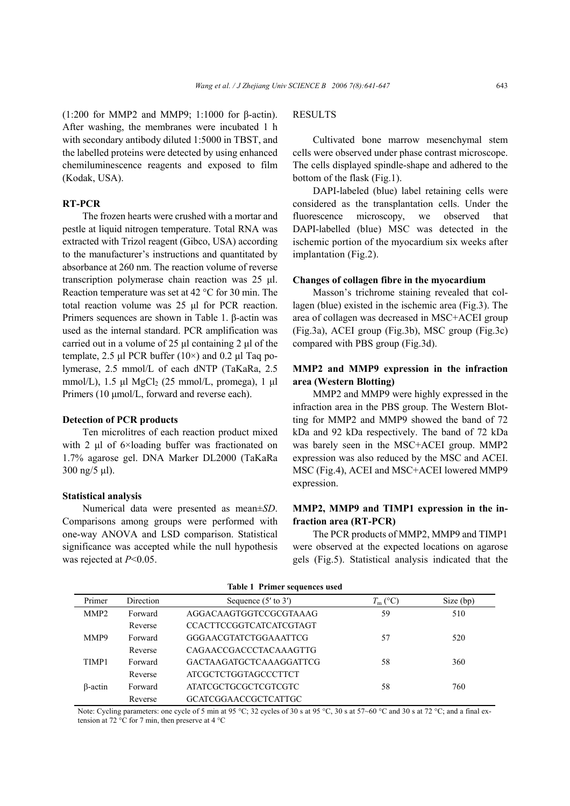(1:200 for MMP2 and MMP9; 1:1000 for β-actin). After washing, the membranes were incubated 1 h with secondary antibody diluted 1:5000 in TBST, and the labelled proteins were detected by using enhanced chemiluminescence reagents and exposed to film (Kodak, USA).

## **RT-PCR**

The frozen hearts were crushed with a mortar and pestle at liquid nitrogen temperature. Total RNA was extracted with Trizol reagent (Gibco, USA) according to the manufacturer's instructions and quantitated by absorbance at 260 nm. The reaction volume of reverse transcription polymerase chain reaction was 25 µl. Reaction temperature was set at 42 °C for 30 min. The total reaction volume was 25 µl for PCR reaction. Primers sequences are shown in Table 1. β-actin was used as the internal standard. PCR amplification was carried out in a volume of 25 µl containing 2 µl of the template, 2.5 µl PCR buffer  $(10\times)$  and 0.2 µl Taq polymerase, 2.5 mmol/L of each dNTP (TaKaRa, 2.5 mmol/L),  $1.5 \text{ µl MgCl}_2$  (25 mmol/L, promega), 1  $\mu$ l Primers (10  $\mu$ mol/L, forward and reverse each).

# **Detection of PCR products**

Ten microlitres of each reaction product mixed with 2 µl of 6×loading buffer was fractionated on 1.7% agarose gel. DNA Marker DL2000 (TaKaRa 300 ng/5 µl).

## **Statistical analysis**

Numerical data were presented as mean±*SD*. Comparisons among groups were performed with one-way ANOVA and LSD comparison. Statistical significance was accepted while the null hypothesis was rejected at *P*<0.05.

# **RESULTS**

Cultivated bone marrow mesenchymal stem cells were observed under phase contrast microscope. The cells displayed spindle-shape and adhered to the bottom of the flask (Fig.1).

DAPI-labeled (blue) label retaining cells were considered as the transplantation cells. Under the fluorescence microscopy, we observed that DAPI-labelled (blue) MSC was detected in the ischemic portion of the myocardium six weeks after implantation (Fig.2).

### **Changes of collagen fibre in the myocardium**

Masson's trichrome staining revealed that collagen (blue) existed in the ischemic area (Fig.3). The area of collagen was decreased in MSC+ACEI group (Fig.3a), ACEI group (Fig.3b), MSC group (Fig.3c) compared with PBS group (Fig.3d).

# **MMP2 and MMP9 expression in the infraction area (Western Blotting)**

MMP2 and MMP9 were highly expressed in the infraction area in the PBS group. The Western Blotting for MMP2 and MMP9 showed the band of 72 kDa and 92 kDa respectively. The band of 72 kDa was barely seen in the MSC+ACEI group. MMP2 expression was also reduced by the MSC and ACEI. MSC (Fig.4), ACEI and MSC+ACEI lowered MMP9 expression.

# **MMP2, MMP9 and TIMP1 expression in the infraction area (RT-PCR)**

The PCR products of MMP2, MMP9 and TIMP1 were observed at the expected locations on agarose gels (Fig.5). Statistical analysis indicated that the

| Table 1 Primer sequences used |         |                                |                  |             |  |  |  |
|-------------------------------|---------|--------------------------------|------------------|-------------|--|--|--|
| Primer<br>Direction           |         | Sequence $(5'$ to $3')$        | $T_{\rm m}$ (°C) | Size $(bp)$ |  |  |  |
| MMP <sub>2</sub>              | Forward | AGGACAAGTGGTCCGCGTAAAG         | 59               | 510         |  |  |  |
|                               | Reverse | <b>CCACTTCCGGTCATCATCGTAGT</b> |                  |             |  |  |  |
| MMP9                          | Forward | GGGAACGTATCTGGAAATTCG          | 57               | 520         |  |  |  |
|                               | Reverse | CAGAACCGACCCTACAAAGTTG         |                  |             |  |  |  |
| TIMP1                         | Forward | <b>GACTAAGATGCTCAAAGGATTCG</b> | 58               | 360         |  |  |  |
|                               | Reverse | ATCGCTCTGGTAGCCCTTCT           |                  |             |  |  |  |
| $\beta$ -actin                | Forward | ATATCGCTGCGCTCGTCGTC           | 58               | 760         |  |  |  |
|                               | Reverse | GCATCGGAACCGCTCATTGC           |                  |             |  |  |  |

**Table 1 Primer sequences used** 

Note: Cycling parameters: one cycle of 5 min at 95 °C; 32 cycles of 30 s at 95 °C,  $\overline{30 \text{ s}}$  at 57~60 °C and 30 s at 72 °C; and a final extension at 72 °C for 7 min, then preserve at 4 °C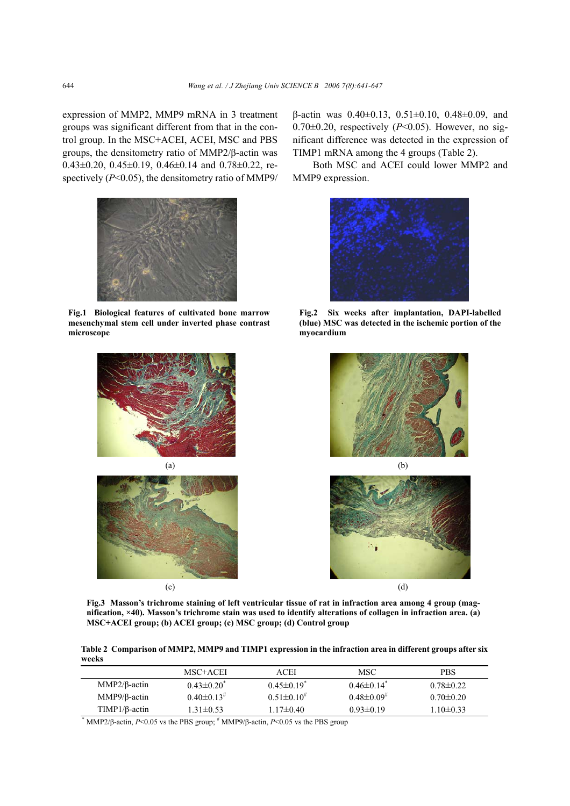expression of MMP2, MMP9 mRNA in 3 treatment groups was significant different from that in the control group. In the MSC+ACEI, ACEI, MSC and PBS groups, the densitometry ratio of MMP2/β-actin was 0.43 $\pm$ 0.20, 0.45 $\pm$ 0.19, 0.46 $\pm$ 0.14 and 0.78 $\pm$ 0.22, respectively (*P*<0.05), the densitometry ratio of MMP9/



**Fig.1 Biological features of cultivated bone marrow mesenchymal stem cell under inverted phase contrast microscope** 





β-actin was 0.40±0.13, 0.51±0.10, 0.48±0.09, and  $0.70\pm0.20$ , respectively ( $P<0.05$ ). However, no significant difference was detected in the expression of TIMP1 mRNA among the 4 groups (Table 2).

Both MSC and ACEI could lower MMP2 and MMP9 expression.



**Fig.2 Six weeks after implantation, DAPI-labelled (blue) MSC was detected in the ischemic portion of the myocardium** 





**Fig.3 Masson's trichrome staining of left ventricular tissue of rat in infraction area among 4 group (magnification, ×40). Masson's trichrome stain was used to identify alterations of collagen in infraction area. (a) MSC+ACEI group; (b) ACEI group; (c) MSC group; (d) Control group** 

**Table 2 Comparison of MMP2, MMP9 and TIMP1 expression in the infraction area in different groups after six weeks** 

|                                                                                                   | MSC+ACEI                     | ACEI                | MSC.                         | <b>PBS</b>      |  |  |  |
|---------------------------------------------------------------------------------------------------|------------------------------|---------------------|------------------------------|-----------------|--|--|--|
| $MMP2/B$ -actin                                                                                   | $0.43 \pm 0.20^*$            | $0.45 \pm 0.19^*$   | $0.46 \pm 0.14^*$            | $0.78 \pm 0.22$ |  |  |  |
| MMP9/ $\beta$ -actin                                                                              | $0.40 \pm 0.13$ <sup>#</sup> | $0.51 \pm 0.10^{#}$ | $0.48 \pm 0.09$ <sup>#</sup> | $0.70 \pm 0.20$ |  |  |  |
| $TIMP1/B\text{-}action$                                                                           | $1.31 \pm 0.53$              | $1.17\pm0.40$       | $0.93\pm0.19$                | $1.10 \pm 0.33$ |  |  |  |
| MMP2/ $\beta$ -actin, P<0.05 vs the PBS group; $\#$ MMP9/ $\beta$ -actin, P<0.05 vs the PBS group |                              |                     |                              |                 |  |  |  |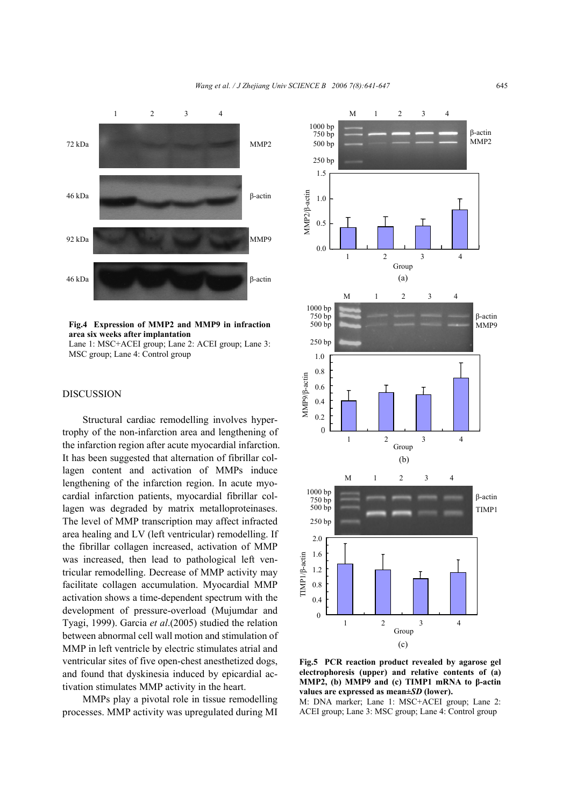

#### **Fig.4 Expression of MMP2 and MMP9 in infraction area six weeks after implantation**

Lane 1: MSC+ACEI group; Lane 2: ACEI group; Lane 3: MSC group; Lane 4: Control group

# **DISCUSSION**

Structural cardiac remodelling involves hypertrophy of the non-infarction area and lengthening of the infarction region after acute myocardial infarction. It has been suggested that alternation of fibrillar collagen content and activation of MMPs induce lengthening of the infarction region. In acute myocardial infarction patients, myocardial fibrillar collagen was degraded by matrix metalloproteinases. The level of MMP transcription may affect infracted area healing and LV (left ventricular) remodelling. If the fibrillar collagen increased, activation of MMP was increased, then lead to pathological left ventricular remodelling. Decrease of MMP activity may facilitate collagen accumulation. Myocardial MMP activation shows a time-dependent spectrum with the development of pressure-overload (Mujumdar and Tyagi, 1999). Garcia *et al*.(2005) studied the relation between abnormal cell wall motion and stimulation of MMP in left ventricle by electric stimulates atrial and ventricular sites of five open-chest anesthetized dogs, and found that dyskinesia induced by epicardial activation stimulates MMP activity in the heart.

MMPs play a pivotal role in tissue remodelling processes. MMP activity was upregulated during MI



**Fig.5 PCR reaction product revealed by agarose gel electrophoresis (upper) and relative contents of (a) MMP2, (b) MMP9 and (c) TIMP1 mRNA to β-actin values are expressed as mean±***SD* **(lower).** 

M: DNA marker; Lane 1: MSC+ACEI group; Lane 2: ACEI group; Lane 3: MSC group; Lane 4: Control group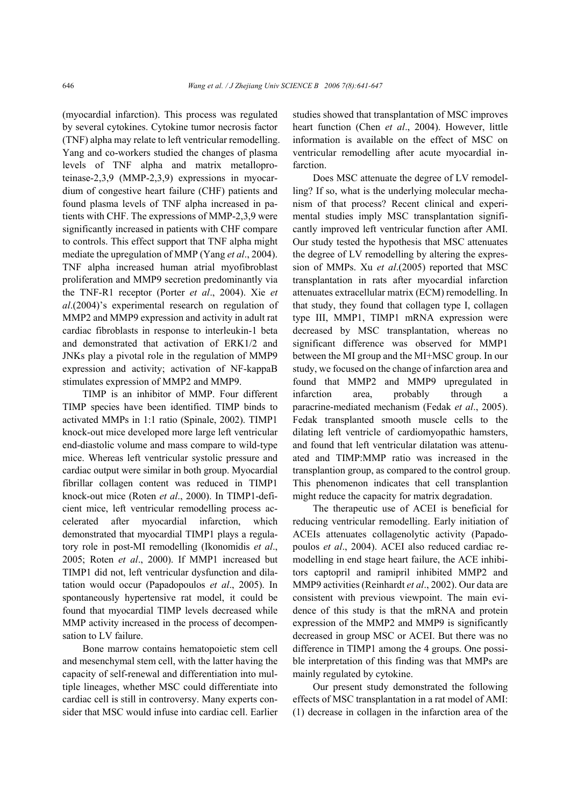(myocardial infarction). This process was regulated by several cytokines. Cytokine tumor necrosis factor (TNF) alpha may relate to left ventricular remodelling. Yang and co-workers studied the changes of plasma levels of TNF alpha and matrix metalloproteinase-2,3,9 (MMP-2,3,9) expressions in myocardium of congestive heart failure (CHF) patients and found plasma levels of TNF alpha increased in patients with CHF. The expressions of MMP-2,3,9 were significantly increased in patients with CHF compare to controls. This effect support that TNF alpha might mediate the upregulation of MMP (Yang *et al*., 2004). TNF alpha increased human atrial myofibroblast proliferation and MMP9 secretion predominantly via the TNF-R1 receptor (Porter *et al*., 2004). Xie *et al*.(2004)'s experimental research on regulation of MMP2 and MMP9 expression and activity in adult rat cardiac fibroblasts in response to interleukin-1 beta and demonstrated that activation of ERK1/2 and JNKs play a pivotal role in the regulation of MMP9 expression and activity; activation of NF-kappaB stimulates expression of MMP2 and MMP9.

TIMP is an inhibitor of MMP. Four different TIMP species have been identified. TIMP binds to activated MMPs in 1:1 ratio (Spinale, 2002). TIMP1 knock-out mice developed more large left ventricular end-diastolic volume and mass compare to wild-type mice. Whereas left ventricular systolic pressure and cardiac output were similar in both group. Myocardial fibrillar collagen content was reduced in TIMP1 knock-out mice (Roten *et al*., 2000). In TIMP1-deficient mice, left ventricular remodelling process accelerated after myocardial infarction, which demonstrated that myocardial TIMP1 plays a regulatory role in post-MI remodelling (Ikonomidis *et al*., 2005; Roten *et al*., 2000). If MMP1 increased but TIMP1 did not, left ventricular dysfunction and dilatation would occur (Papadopoulos *et al*., 2005). In spontaneously hypertensive rat model, it could be found that myocardial TIMP levels decreased while MMP activity increased in the process of decompensation to LV failure.

Bone marrow contains hematopoietic stem cell and mesenchymal stem cell, with the latter having the capacity of self-renewal and differentiation into multiple lineages, whether MSC could differentiate into cardiac cell is still in controversy. Many experts consider that MSC would infuse into cardiac cell. Earlier studies showed that transplantation of MSC improves heart function (Chen *et al*., 2004). However, little information is available on the effect of MSC on ventricular remodelling after acute myocardial infarction.

Does MSC attenuate the degree of LV remodelling? If so, what is the underlying molecular mechanism of that process? Recent clinical and experimental studies imply MSC transplantation significantly improved left ventricular function after AMI. Our study tested the hypothesis that MSC attenuates the degree of LV remodelling by altering the expression of MMPs. Xu *et al*.(2005) reported that MSC transplantation in rats after myocardial infarction attenuates extracellular matrix (ECM) remodelling. In that study, they found that collagen type I, collagen type III, MMP1, TIMP1 mRNA expression were decreased by MSC transplantation, whereas no significant difference was observed for MMP1 between the MI group and the MI+MSC group. In our study, we focused on the change of infarction area and found that MMP2 and MMP9 upregulated in infarction area, probably through a paracrine-mediated mechanism (Fedak *et al*., 2005). Fedak transplanted smooth muscle cells to the dilating left ventricle of cardiomyopathic hamsters, and found that left ventricular dilatation was attenuated and TIMP:MMP ratio was increased in the transplantion group, as compared to the control group. This phenomenon indicates that cell transplantion might reduce the capacity for matrix degradation.

The therapeutic use of ACEI is beneficial for reducing ventricular remodelling. Early initiation of ACEIs attenuates collagenolytic activity (Papadopoulos *et al*., 2004). ACEI also reduced cardiac remodelling in end stage heart failure, the ACE inhibitors captopril and ramipril inhibited MMP2 and MMP9 activities (Reinhardt *et al*., 2002). Our data are consistent with previous viewpoint. The main evidence of this study is that the mRNA and protein expression of the MMP2 and MMP9 is significantly decreased in group MSC or ACEI. But there was no difference in TIMP1 among the 4 groups. One possible interpretation of this finding was that MMPs are mainly regulated by cytokine.

Our present study demonstrated the following effects of MSC transplantation in a rat model of AMI: (1) decrease in collagen in the infarction area of the